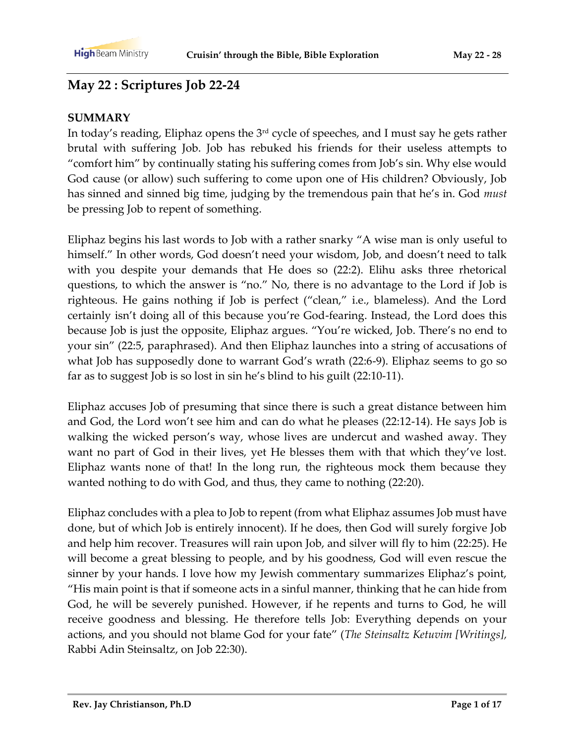## **May 22 : Scriptures Job 22-24**

#### **SUMMARY**

In today's reading, Eliphaz opens the 3rd cycle of speeches, and I must say he gets rather brutal with suffering Job. Job has rebuked his friends for their useless attempts to "comfort him" by continually stating his suffering comes from Job's sin. Why else would God cause (or allow) such suffering to come upon one of His children? Obviously, Job has sinned and sinned big time, judging by the tremendous pain that he's in. God *must* be pressing Job to repent of something.

Eliphaz begins his last words to Job with a rather snarky "A wise man is only useful to himself." In other words, God doesn't need your wisdom, Job, and doesn't need to talk with you despite your demands that He does so (22:2). Elihu asks three rhetorical questions, to which the answer is "no." No, there is no advantage to the Lord if Job is righteous. He gains nothing if Job is perfect ("clean," i.e., blameless). And the Lord certainly isn't doing all of this because you're God-fearing. Instead, the Lord does this because Job is just the opposite, Eliphaz argues. "You're wicked, Job. There's no end to your sin" (22:5, paraphrased). And then Eliphaz launches into a string of accusations of what Job has supposedly done to warrant God's wrath (22:6-9). Eliphaz seems to go so far as to suggest Job is so lost in sin he's blind to his guilt (22:10-11).

Eliphaz accuses Job of presuming that since there is such a great distance between him and God, the Lord won't see him and can do what he pleases (22:12-14). He says Job is walking the wicked person's way, whose lives are undercut and washed away. They want no part of God in their lives, yet He blesses them with that which they've lost. Eliphaz wants none of that! In the long run, the righteous mock them because they wanted nothing to do with God, and thus, they came to nothing (22:20).

Eliphaz concludes with a plea to Job to repent (from what Eliphaz assumes Job must have done, but of which Job is entirely innocent). If he does, then God will surely forgive Job and help him recover. Treasures will rain upon Job, and silver will fly to him (22:25). He will become a great blessing to people, and by his goodness, God will even rescue the sinner by your hands. I love how my Jewish commentary summarizes Eliphaz's point, "His main point is that if someone acts in a sinful manner, thinking that he can hide from God, he will be severely punished. However, if he repents and turns to God, he will receive goodness and blessing. He therefore tells Job: Everything depends on your actions, and you should not blame God for your fate" (*The Steinsaltz Ketuvim [Writings],* Rabbi Adin Steinsaltz, on Job 22:30).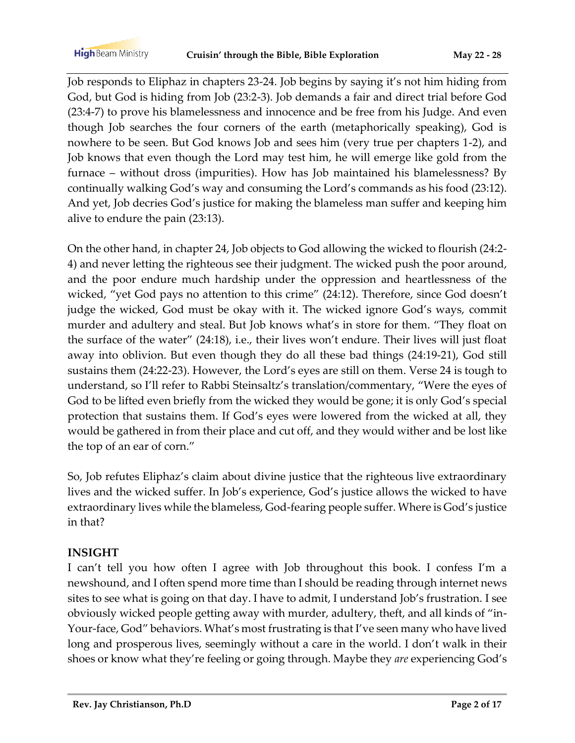**High** Beam Ministry

Job responds to Eliphaz in chapters 23-24. Job begins by saying it's not him hiding from God, but God is hiding from Job (23:2-3). Job demands a fair and direct trial before God (23:4-7) to prove his blamelessness and innocence and be free from his Judge. And even though Job searches the four corners of the earth (metaphorically speaking), God is nowhere to be seen. But God knows Job and sees him (very true per chapters 1-2), and Job knows that even though the Lord may test him, he will emerge like gold from the furnace – without dross (impurities). How has Job maintained his blamelessness? By continually walking God's way and consuming the Lord's commands as his food (23:12). And yet, Job decries God's justice for making the blameless man suffer and keeping him alive to endure the pain (23:13).

On the other hand, in chapter 24, Job objects to God allowing the wicked to flourish (24:2- 4) and never letting the righteous see their judgment. The wicked push the poor around, and the poor endure much hardship under the oppression and heartlessness of the wicked, "yet God pays no attention to this crime" (24:12). Therefore, since God doesn't judge the wicked, God must be okay with it. The wicked ignore God's ways, commit murder and adultery and steal. But Job knows what's in store for them. "They float on the surface of the water" (24:18), i.e., their lives won't endure. Their lives will just float away into oblivion. But even though they do all these bad things (24:19-21), God still sustains them (24:22-23). However, the Lord's eyes are still on them. Verse 24 is tough to understand, so I'll refer to Rabbi Steinsaltz's translation/commentary, "Were the eyes of God to be lifted even briefly from the wicked they would be gone; it is only God's special protection that sustains them. If God's eyes were lowered from the wicked at all, they would be gathered in from their place and cut off, and they would wither and be lost like the top of an ear of corn."

So, Job refutes Eliphaz's claim about divine justice that the righteous live extraordinary lives and the wicked suffer. In Job's experience, God's justice allows the wicked to have extraordinary lives while the blameless, God-fearing people suffer. Where is God's justice in that?

### **INSIGHT**

I can't tell you how often I agree with Job throughout this book. I confess I'm a newshound, and I often spend more time than I should be reading through internet news sites to see what is going on that day. I have to admit, I understand Job's frustration. I see obviously wicked people getting away with murder, adultery, theft, and all kinds of "in-Your-face, God" behaviors. What's most frustrating is that I've seen many who have lived long and prosperous lives, seemingly without a care in the world. I don't walk in their shoes or know what they're feeling or going through. Maybe they *are* experiencing God's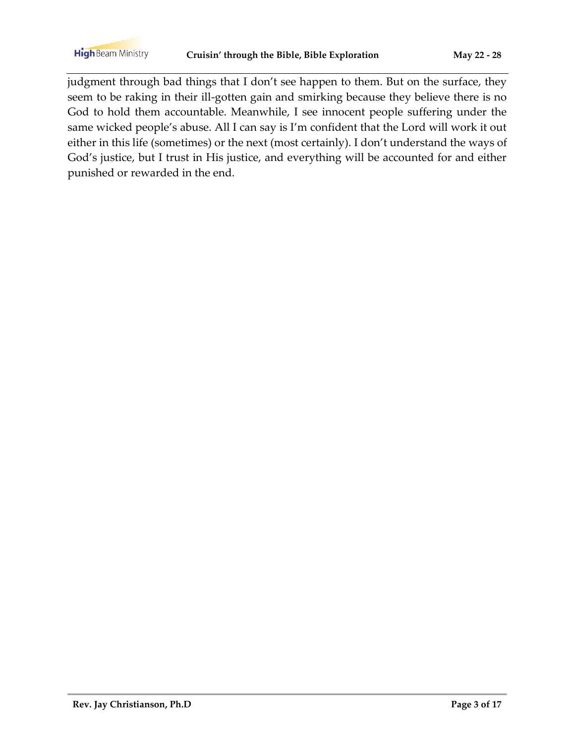judgment through bad things that I don't see happen to them. But on the surface, they seem to be raking in their ill-gotten gain and smirking because they believe there is no God to hold them accountable. Meanwhile, I see innocent people suffering under the same wicked people's abuse. All I can say is I'm confident that the Lord will work it out either in this life (sometimes) or the next (most certainly). I don't understand the ways of God's justice, but I trust in His justice, and everything will be accounted for and either punished or rewarded in the end.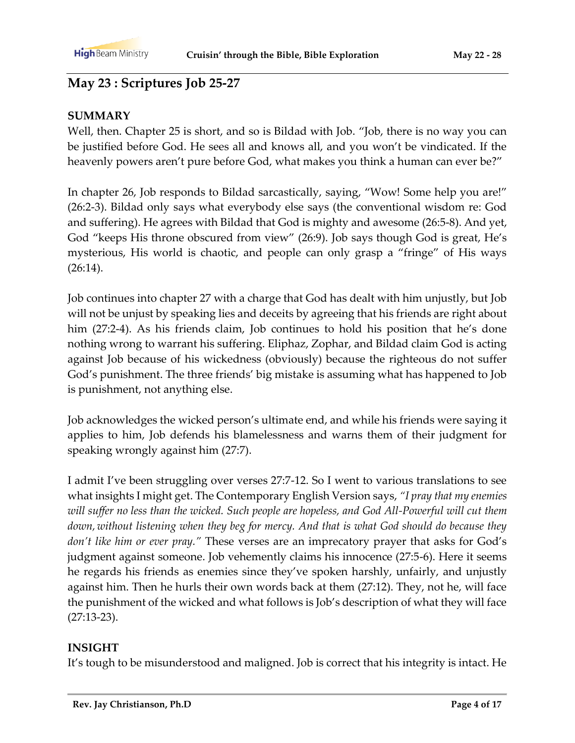# **May 23 : Scriptures Job 25-27**

#### **SUMMARY**

Well, then. Chapter 25 is short, and so is Bildad with Job. "Job, there is no way you can be justified before God. He sees all and knows all, and you won't be vindicated. If the heavenly powers aren't pure before God, what makes you think a human can ever be?"

In chapter 26, Job responds to Bildad sarcastically, saying, "Wow! Some help you are!" (26:2-3). Bildad only says what everybody else says (the conventional wisdom re: God and suffering). He agrees with Bildad that God is mighty and awesome (26:5-8). And yet, God "keeps His throne obscured from view" (26:9). Job says though God is great, He's mysterious, His world is chaotic, and people can only grasp a "fringe" of His ways (26:14).

Job continues into chapter 27 with a charge that God has dealt with him unjustly, but Job will not be unjust by speaking lies and deceits by agreeing that his friends are right about him (27:2-4). As his friends claim, Job continues to hold his position that he's done nothing wrong to warrant his suffering. Eliphaz, Zophar, and Bildad claim God is acting against Job because of his wickedness (obviously) because the righteous do not suffer God's punishment. The three friends' big mistake is assuming what has happened to Job is punishment, not anything else.

Job acknowledges the wicked person's ultimate end, and while his friends were saying it applies to him, Job defends his blamelessness and warns them of their judgment for speaking wrongly against him (27:7).

I admit I've been struggling over verses 27:7-12. So I went to various translations to see what insights I might get. The Contemporary English Version says, *"I pray that my enemies will suffer no less than the wicked. Such people are hopeless, and God All-Powerful will cut them down, without listening when they beg for mercy. And that is what God should do because they don't like him or ever pray."* These verses are an imprecatory prayer that asks for God's judgment against someone. Job vehemently claims his innocence (27:5-6). Here it seems he regards his friends as enemies since they've spoken harshly, unfairly, and unjustly against him. Then he hurls their own words back at them (27:12). They, not he, will face the punishment of the wicked and what follows is Job's description of what they will face (27:13-23).

### **INSIGHT**

It's tough to be misunderstood and maligned. Job is correct that his integrity is intact. He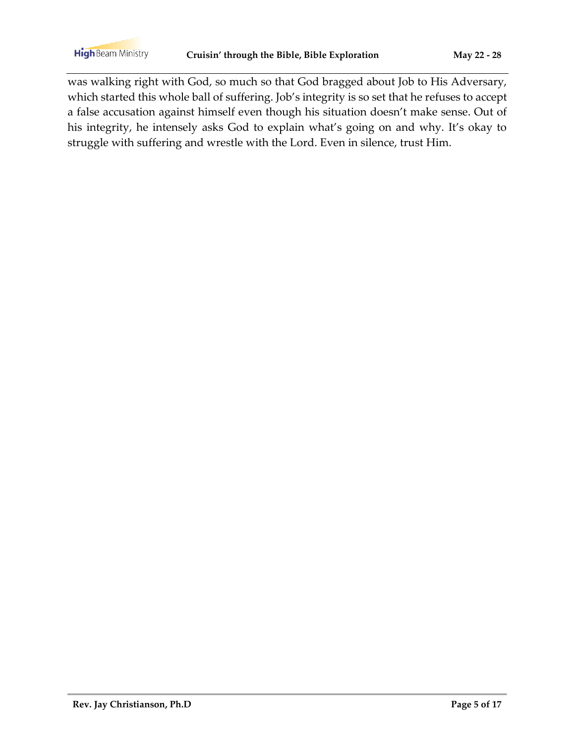was walking right with God, so much so that God bragged about Job to His Adversary, which started this whole ball of suffering. Job's integrity is so set that he refuses to accept a false accusation against himself even though his situation doesn't make sense. Out of his integrity, he intensely asks God to explain what's going on and why. It's okay to struggle with suffering and wrestle with the Lord. Even in silence, trust Him.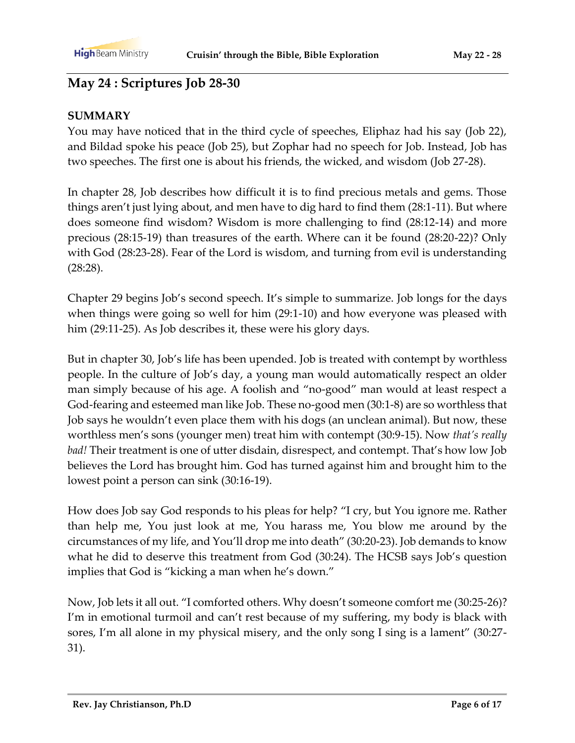# **May 24 : Scriptures Job 28-30**

#### **SUMMARY**

You may have noticed that in the third cycle of speeches, Eliphaz had his say (Job 22), and Bildad spoke his peace (Job 25), but Zophar had no speech for Job. Instead, Job has two speeches. The first one is about his friends, the wicked, and wisdom (Job 27-28).

In chapter 28, Job describes how difficult it is to find precious metals and gems. Those things aren't just lying about, and men have to dig hard to find them (28:1-11). But where does someone find wisdom? Wisdom is more challenging to find (28:12-14) and more precious (28:15-19) than treasures of the earth. Where can it be found (28:20-22)? Only with God (28:23-28). Fear of the Lord is wisdom, and turning from evil is understanding (28:28).

Chapter 29 begins Job's second speech. It's simple to summarize. Job longs for the days when things were going so well for him (29:1-10) and how everyone was pleased with him (29:11-25). As Job describes it, these were his glory days.

But in chapter 30, Job's life has been upended. Job is treated with contempt by worthless people. In the culture of Job's day, a young man would automatically respect an older man simply because of his age. A foolish and "no-good" man would at least respect a God-fearing and esteemed man like Job. These no-good men (30:1-8) are so worthless that Job says he wouldn't even place them with his dogs (an unclean animal). But now, these worthless men's sons (younger men) treat him with contempt (30:9-15). Now *that's really bad!* Their treatment is one of utter disdain, disrespect, and contempt. That's how low Job believes the Lord has brought him. God has turned against him and brought him to the lowest point a person can sink (30:16-19).

How does Job say God responds to his pleas for help? "I cry, but You ignore me. Rather than help me, You just look at me, You harass me, You blow me around by the circumstances of my life, and You'll drop me into death" (30:20-23). Job demands to know what he did to deserve this treatment from God (30:24). The HCSB says Job's question implies that God is "kicking a man when he's down."

Now, Job lets it all out. "I comforted others. Why doesn't someone comfort me (30:25-26)? I'm in emotional turmoil and can't rest because of my suffering, my body is black with sores, I'm all alone in my physical misery, and the only song I sing is a lament" (30:27- 31).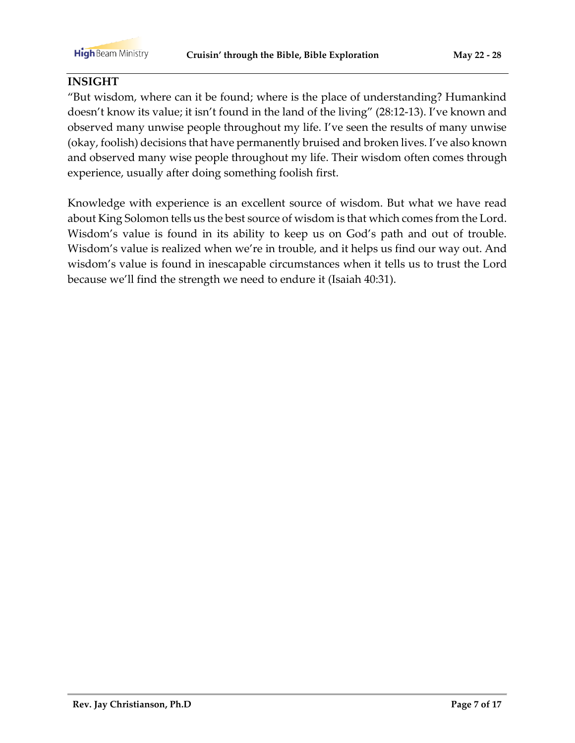#### **INSIGHT**

"But wisdom, where can it be found; where is the place of understanding? Humankind doesn't know its value; it isn't found in the land of the living" (28:12-13). I've known and observed many unwise people throughout my life. I've seen the results of many unwise (okay, foolish) decisions that have permanently bruised and broken lives. I've also known and observed many wise people throughout my life. Their wisdom often comes through experience, usually after doing something foolish first.

Knowledge with experience is an excellent source of wisdom. But what we have read about King Solomon tells us the best source of wisdom is that which comes from the Lord. Wisdom's value is found in its ability to keep us on God's path and out of trouble. Wisdom's value is realized when we're in trouble, and it helps us find our way out. And wisdom's value is found in inescapable circumstances when it tells us to trust the Lord because we'll find the strength we need to endure it (Isaiah 40:31).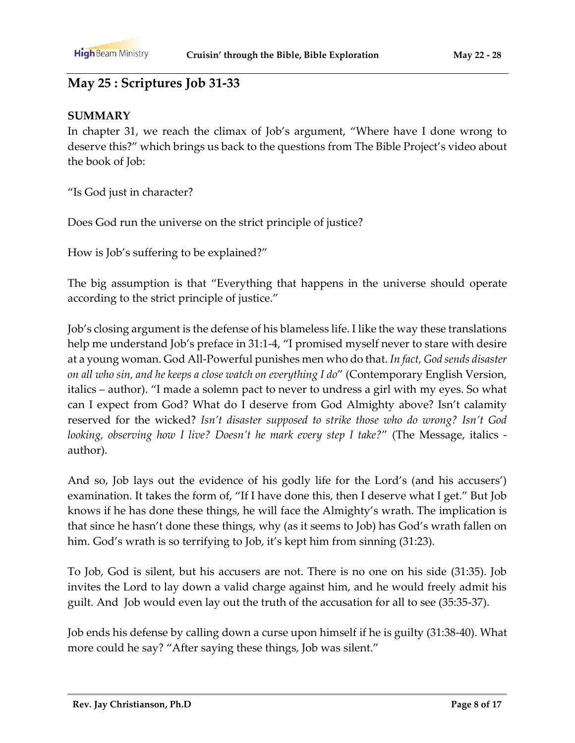# **May 25 : Scriptures Job 31-33**

#### **SUMMARY**

In chapter 31, we reach the climax of Job's argument, "Where have I done wrong to deserve this?" which brings us back to the questions from The Bible Project's video about the book of Job:

"Is God just in character?

Does God run the universe on the strict principle of justice?

How is Job's suffering to be explained?"

The big assumption is that "Everything that happens in the universe should operate according to the strict principle of justice."

Job's closing argument is the defense of his blameless life. I like the way these translations help me understand Job's preface in 31:1-4, "I promised myself never to stare with desire at a young woman. God All-Powerful punishes men who do that. *In fact, God sends disaster on all who sin, and he keeps a close watch on everything I do*" (Contemporary English Version, italics – author). "I made a solemn pact to never to undress a girl with my eyes. So what can I expect from God? What do I deserve from God Almighty above? Isn't calamity reserved for the wicked? *Isn't disaster supposed to strike those who do wrong? Isn't God looking, observing how I live? Doesn't he mark every step I take?*" (The Message, italics author).

And so, Job lays out the evidence of his godly life for the Lord's (and his accusers') examination. It takes the form of, "If I have done this, then I deserve what I get." But Job knows if he has done these things, he will face the Almighty's wrath. The implication is that since he hasn't done these things, why (as it seems to Job) has God's wrath fallen on him. God's wrath is so terrifying to Job, it's kept him from sinning (31:23).

To Job, God is silent, but his accusers are not. There is no one on his side (31:35). Job invites the Lord to lay down a valid charge against him, and he would freely admit his guilt. And Job would even lay out the truth of the accusation for all to see (35:35-37).

Job ends his defense by calling down a curse upon himself if he is guilty (31:38-40). What more could he say? "After saying these things, Job was silent."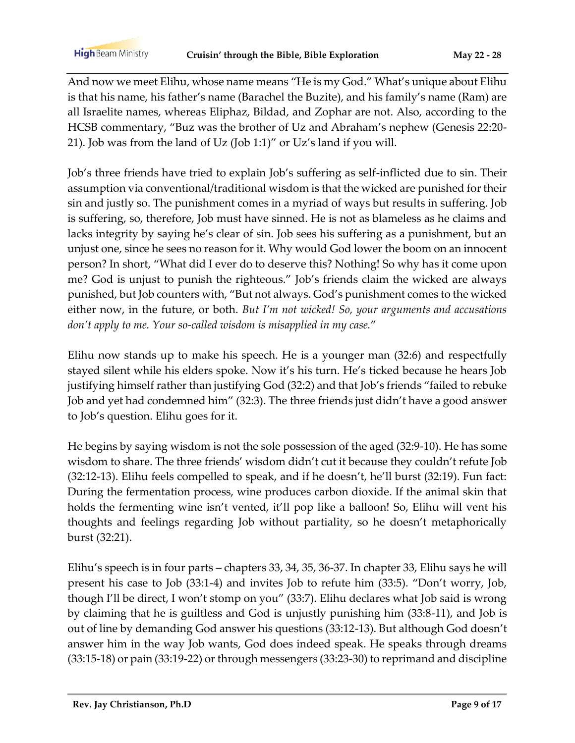**High** Beam Ministry

And now we meet Elihu, whose name means "He is my God." What's unique about Elihu is that his name, his father's name (Barachel the Buzite), and his family's name (Ram) are all Israelite names, whereas Eliphaz, Bildad, and Zophar are not. Also, according to the HCSB commentary, "Buz was the brother of Uz and Abraham's nephew (Genesis 22:20- 21). Job was from the land of Uz (Job 1:1)" or Uz's land if you will.

Job's three friends have tried to explain Job's suffering as self-inflicted due to sin. Their assumption via conventional/traditional wisdom is that the wicked are punished for their sin and justly so. The punishment comes in a myriad of ways but results in suffering. Job is suffering, so, therefore, Job must have sinned. He is not as blameless as he claims and lacks integrity by saying he's clear of sin. Job sees his suffering as a punishment, but an unjust one, since he sees no reason for it. Why would God lower the boom on an innocent person? In short, "What did I ever do to deserve this? Nothing! So why has it come upon me? God is unjust to punish the righteous." Job's friends claim the wicked are always punished, but Job counters with, "But not always. God's punishment comes to the wicked either now, in the future, or both. *But I'm not wicked! So, your arguments and accusations don't apply to me. Your so-called wisdom is misapplied in my case.*"

Elihu now stands up to make his speech. He is a younger man (32:6) and respectfully stayed silent while his elders spoke. Now it's his turn. He's ticked because he hears Job justifying himself rather than justifying God (32:2) and that Job's friends "failed to rebuke Job and yet had condemned him" (32:3). The three friends just didn't have a good answer to Job's question. Elihu goes for it.

He begins by saying wisdom is not the sole possession of the aged (32:9-10). He has some wisdom to share. The three friends' wisdom didn't cut it because they couldn't refute Job (32:12-13). Elihu feels compelled to speak, and if he doesn't, he'll burst (32:19). Fun fact: During the fermentation process, wine produces carbon dioxide. If the animal skin that holds the fermenting wine isn't vented, it'll pop like a balloon! So, Elihu will vent his thoughts and feelings regarding Job without partiality, so he doesn't metaphorically burst (32:21).

Elihu's speech is in four parts – chapters 33, 34, 35, 36-37. In chapter 33, Elihu says he will present his case to Job (33:1-4) and invites Job to refute him (33:5). "Don't worry, Job, though I'll be direct, I won't stomp on you" (33:7). Elihu declares what Job said is wrong by claiming that he is guiltless and God is unjustly punishing him (33:8-11), and Job is out of line by demanding God answer his questions (33:12-13). But although God doesn't answer him in the way Job wants, God does indeed speak. He speaks through dreams (33:15-18) or pain (33:19-22) or through messengers (33:23-30) to reprimand and discipline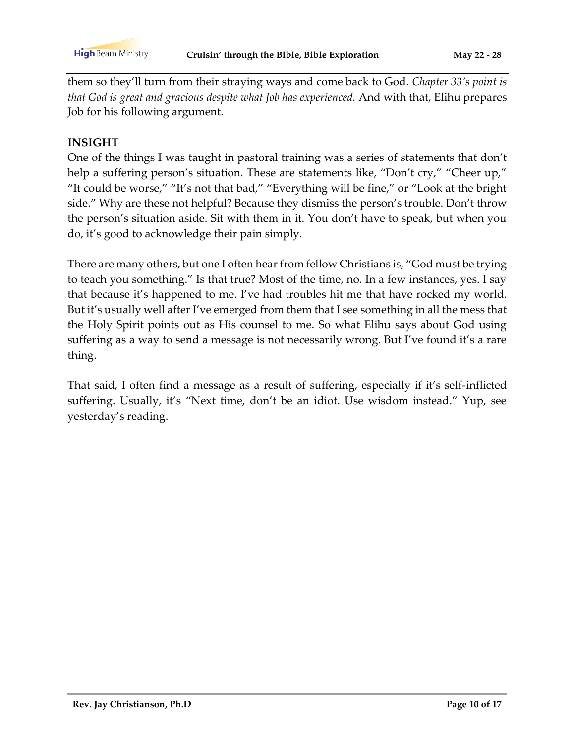them so they'll turn from their straying ways and come back to God. *Chapter 33's point is that God is great and gracious despite what Job has experienced.* And with that, Elihu prepares Job for his following argument.

#### **INSIGHT**

One of the things I was taught in pastoral training was a series of statements that don't help a suffering person's situation. These are statements like, "Don't cry," "Cheer up," "It could be worse," "It's not that bad," "Everything will be fine," or "Look at the bright side." Why are these not helpful? Because they dismiss the person's trouble. Don't throw the person's situation aside. Sit with them in it. You don't have to speak, but when you do, it's good to acknowledge their pain simply.

There are many others, but one I often hear from fellow Christians is, "God must be trying to teach you something." Is that true? Most of the time, no. In a few instances, yes. I say that because it's happened to me. I've had troubles hit me that have rocked my world. But it's usually well after I've emerged from them that I see something in all the mess that the Holy Spirit points out as His counsel to me. So what Elihu says about God using suffering as a way to send a message is not necessarily wrong. But I've found it's a rare thing.

That said, I often find a message as a result of suffering, especially if it's self-inflicted suffering. Usually, it's "Next time, don't be an idiot. Use wisdom instead." Yup, see yesterday's reading.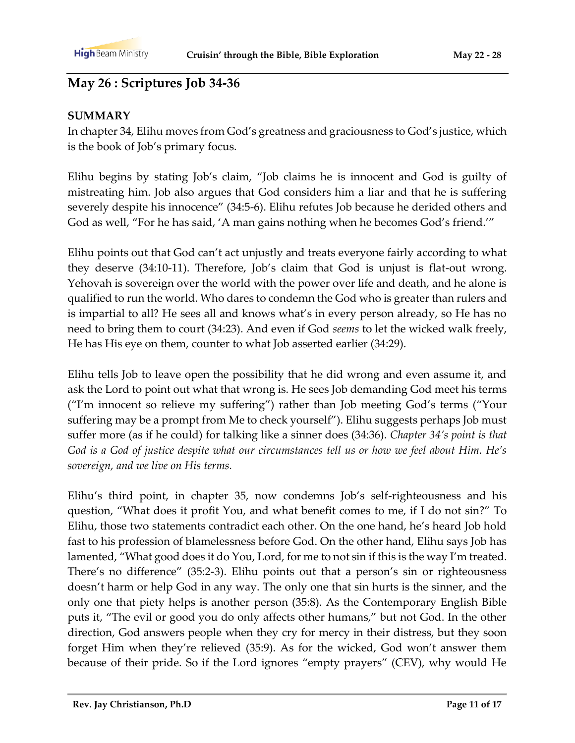# **May 26 : Scriptures Job 34-36**

#### **SUMMARY**

In chapter 34, Elihu moves from God's greatness and graciousness to God's justice, which is the book of Job's primary focus.

Elihu begins by stating Job's claim, "Job claims he is innocent and God is guilty of mistreating him. Job also argues that God considers him a liar and that he is suffering severely despite his innocence" (34:5-6). Elihu refutes Job because he derided others and God as well, "For he has said, 'A man gains nothing when he becomes God's friend.'"

Elihu points out that God can't act unjustly and treats everyone fairly according to what they deserve (34:10-11). Therefore, Job's claim that God is unjust is flat-out wrong. Yehovah is sovereign over the world with the power over life and death, and he alone is qualified to run the world. Who dares to condemn the God who is greater than rulers and is impartial to all? He sees all and knows what's in every person already, so He has no need to bring them to court (34:23). And even if God *seems* to let the wicked walk freely, He has His eye on them, counter to what Job asserted earlier (34:29).

Elihu tells Job to leave open the possibility that he did wrong and even assume it, and ask the Lord to point out what that wrong is. He sees Job demanding God meet his terms ("I'm innocent so relieve my suffering") rather than Job meeting God's terms ("Your suffering may be a prompt from Me to check yourself"). Elihu suggests perhaps Job must suffer more (as if he could) for talking like a sinner does (34:36). *Chapter 34's point is that God is a God of justice despite what our circumstances tell us or how we feel about Him. He's sovereign, and we live on His terms.*

Elihu's third point, in chapter 35, now condemns Job's self-righteousness and his question, "What does it profit You, and what benefit comes to me, if I do not sin?" To Elihu, those two statements contradict each other. On the one hand, he's heard Job hold fast to his profession of blamelessness before God. On the other hand, Elihu says Job has lamented, "What good does it do You, Lord, for me to not sin if this is the way I'm treated. There's no difference" (35:2-3). Elihu points out that a person's sin or righteousness doesn't harm or help God in any way. The only one that sin hurts is the sinner, and the only one that piety helps is another person (35:8). As the Contemporary English Bible puts it, "The evil or good you do only affects other humans," but not God. In the other direction, God answers people when they cry for mercy in their distress, but they soon forget Him when they're relieved (35:9). As for the wicked, God won't answer them because of their pride. So if the Lord ignores "empty prayers" (CEV), why would He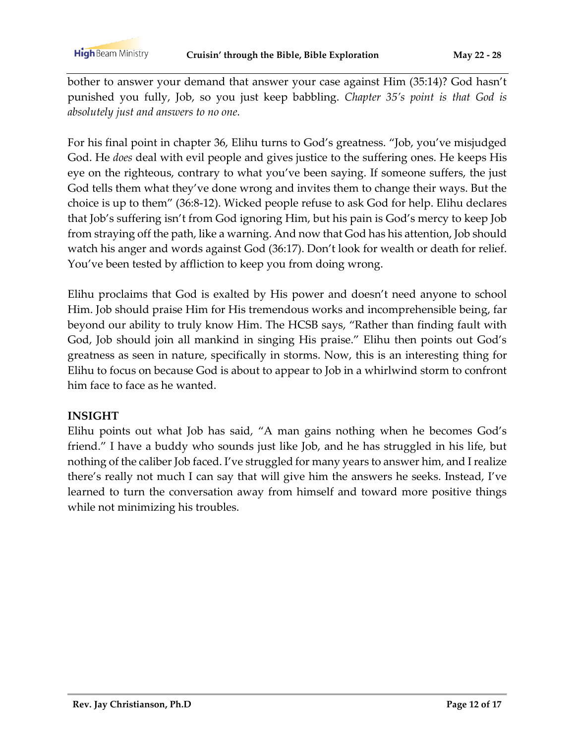bother to answer your demand that answer your case against Him (35:14)? God hasn't punished you fully, Job, so you just keep babbling. *Chapter 35's point is that God is absolutely just and answers to no one.*

For his final point in chapter 36, Elihu turns to God's greatness. "Job, you've misjudged God. He *does* deal with evil people and gives justice to the suffering ones. He keeps His eye on the righteous, contrary to what you've been saying. If someone suffers, the just God tells them what they've done wrong and invites them to change their ways. But the choice is up to them" (36:8-12). Wicked people refuse to ask God for help. Elihu declares that Job's suffering isn't from God ignoring Him, but his pain is God's mercy to keep Job from straying off the path, like a warning. And now that God has his attention, Job should watch his anger and words against God (36:17). Don't look for wealth or death for relief. You've been tested by affliction to keep you from doing wrong.

Elihu proclaims that God is exalted by His power and doesn't need anyone to school Him. Job should praise Him for His tremendous works and incomprehensible being, far beyond our ability to truly know Him. The HCSB says, "Rather than finding fault with God, Job should join all mankind in singing His praise." Elihu then points out God's greatness as seen in nature, specifically in storms. Now, this is an interesting thing for Elihu to focus on because God is about to appear to Job in a whirlwind storm to confront him face to face as he wanted.

### **INSIGHT**

Elihu points out what Job has said, "A man gains nothing when he becomes God's friend." I have a buddy who sounds just like Job, and he has struggled in his life, but nothing of the caliber Job faced. I've struggled for many years to answer him, and I realize there's really not much I can say that will give him the answers he seeks. Instead, I've learned to turn the conversation away from himself and toward more positive things while not minimizing his troubles.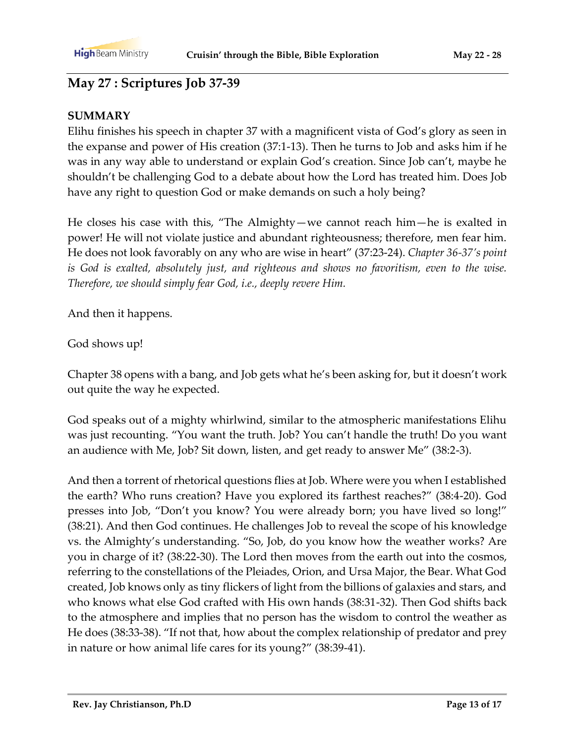## **May 27 : Scriptures Job 37-39**

#### **SUMMARY**

Elihu finishes his speech in chapter 37 with a magnificent vista of God's glory as seen in the expanse and power of His creation (37:1-13). Then he turns to Job and asks him if he was in any way able to understand or explain God's creation. Since Job can't, maybe he shouldn't be challenging God to a debate about how the Lord has treated him. Does Job have any right to question God or make demands on such a holy being?

He closes his case with this, "The Almighty—we cannot reach him—he is exalted in power! He will not violate justice and abundant righteousness; therefore, men fear him. He does not look favorably on any who are wise in heart" (37:23-24). *Chapter 36-37's point is God is exalted, absolutely just, and righteous and shows no favoritism, even to the wise. Therefore, we should simply fear God, i.e., deeply revere Him.*

And then it happens.

God shows up!

Chapter 38 opens with a bang, and Job gets what he's been asking for, but it doesn't work out quite the way he expected.

God speaks out of a mighty whirlwind, similar to the atmospheric manifestations Elihu was just recounting. "You want the truth. Job? You can't handle the truth! Do you want an audience with Me, Job? Sit down, listen, and get ready to answer Me" (38:2-3).

And then a torrent of rhetorical questions flies at Job. Where were you when I established the earth? Who runs creation? Have you explored its farthest reaches?" (38:4-20). God presses into Job, "Don't you know? You were already born; you have lived so long!" (38:21). And then God continues. He challenges Job to reveal the scope of his knowledge vs. the Almighty's understanding. "So, Job, do you know how the weather works? Are you in charge of it? (38:22-30). The Lord then moves from the earth out into the cosmos, referring to the constellations of the Pleiades, Orion, and Ursa Major, the Bear. What God created, Job knows only as tiny flickers of light from the billions of galaxies and stars, and who knows what else God crafted with His own hands (38:31-32). Then God shifts back to the atmosphere and implies that no person has the wisdom to control the weather as He does (38:33-38). "If not that, how about the complex relationship of predator and prey in nature or how animal life cares for its young?" (38:39-41).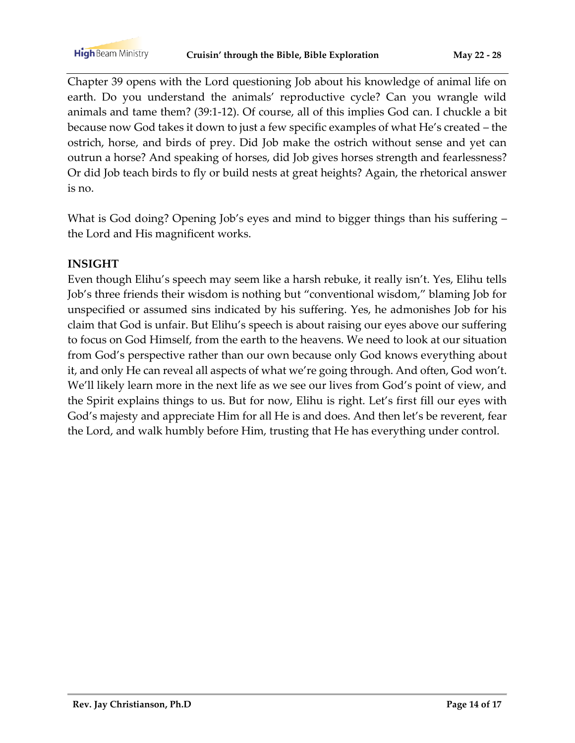Chapter 39 opens with the Lord questioning Job about his knowledge of animal life on earth. Do you understand the animals' reproductive cycle? Can you wrangle wild animals and tame them? (39:1-12). Of course, all of this implies God can. I chuckle a bit because now God takes it down to just a few specific examples of what He's created – the ostrich, horse, and birds of prey. Did Job make the ostrich without sense and yet can outrun a horse? And speaking of horses, did Job gives horses strength and fearlessness? Or did Job teach birds to fly or build nests at great heights? Again, the rhetorical answer is no.

What is God doing? Opening Job's eyes and mind to bigger things than his suffering – the Lord and His magnificent works.

#### **INSIGHT**

Even though Elihu's speech may seem like a harsh rebuke, it really isn't. Yes, Elihu tells Job's three friends their wisdom is nothing but "conventional wisdom," blaming Job for unspecified or assumed sins indicated by his suffering. Yes, he admonishes Job for his claim that God is unfair. But Elihu's speech is about raising our eyes above our suffering to focus on God Himself, from the earth to the heavens. We need to look at our situation from God's perspective rather than our own because only God knows everything about it, and only He can reveal all aspects of what we're going through. And often, God won't. We'll likely learn more in the next life as we see our lives from God's point of view, and the Spirit explains things to us. But for now, Elihu is right. Let's first fill our eyes with God's majesty and appreciate Him for all He is and does. And then let's be reverent, fear the Lord, and walk humbly before Him, trusting that He has everything under control.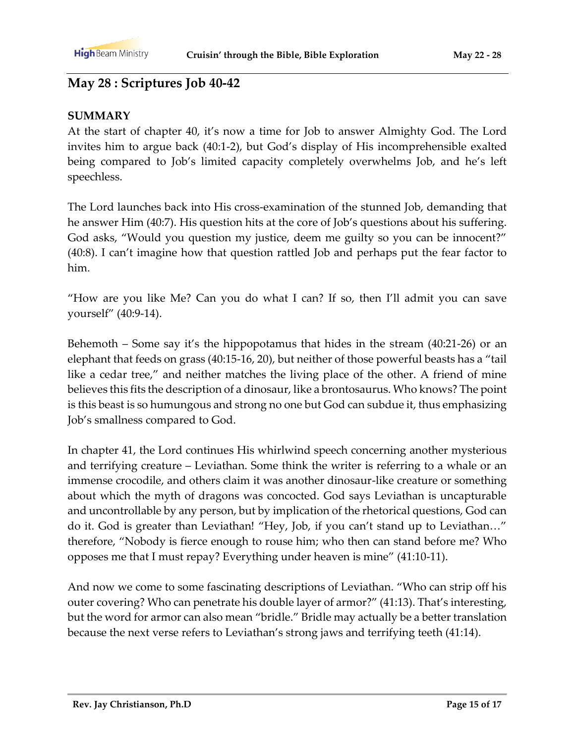## **May 28 : Scriptures Job 40-42**

#### **SUMMARY**

At the start of chapter 40, it's now a time for Job to answer Almighty God. The Lord invites him to argue back (40:1-2), but God's display of His incomprehensible exalted being compared to Job's limited capacity completely overwhelms Job, and he's left speechless.

The Lord launches back into His cross-examination of the stunned Job, demanding that he answer Him (40:7). His question hits at the core of Job's questions about his suffering. God asks, "Would you question my justice, deem me guilty so you can be innocent?" (40:8). I can't imagine how that question rattled Job and perhaps put the fear factor to him.

"How are you like Me? Can you do what I can? If so, then I'll admit you can save yourself" (40:9-14).

Behemoth – Some say it's the hippopotamus that hides in the stream (40:21-26) or an elephant that feeds on grass (40:15-16, 20), but neither of those powerful beasts has a "tail like a cedar tree," and neither matches the living place of the other. A friend of mine believes this fits the description of a dinosaur, like a brontosaurus. Who knows? The point is this beast is so humungous and strong no one but God can subdue it, thus emphasizing Job's smallness compared to God.

In chapter 41, the Lord continues His whirlwind speech concerning another mysterious and terrifying creature – Leviathan. Some think the writer is referring to a whale or an immense crocodile, and others claim it was another dinosaur-like creature or something about which the myth of dragons was concocted. God says Leviathan is uncapturable and uncontrollable by any person, but by implication of the rhetorical questions, God can do it. God is greater than Leviathan! "Hey, Job, if you can't stand up to Leviathan…" therefore, "Nobody is fierce enough to rouse him; who then can stand before me? Who opposes me that I must repay? Everything under heaven is mine" (41:10-11).

And now we come to some fascinating descriptions of Leviathan. "Who can strip off his outer covering? Who can penetrate his double layer of armor?" (41:13). That's interesting, but the word for armor can also mean "bridle." Bridle may actually be a better translation because the next verse refers to Leviathan's strong jaws and terrifying teeth (41:14).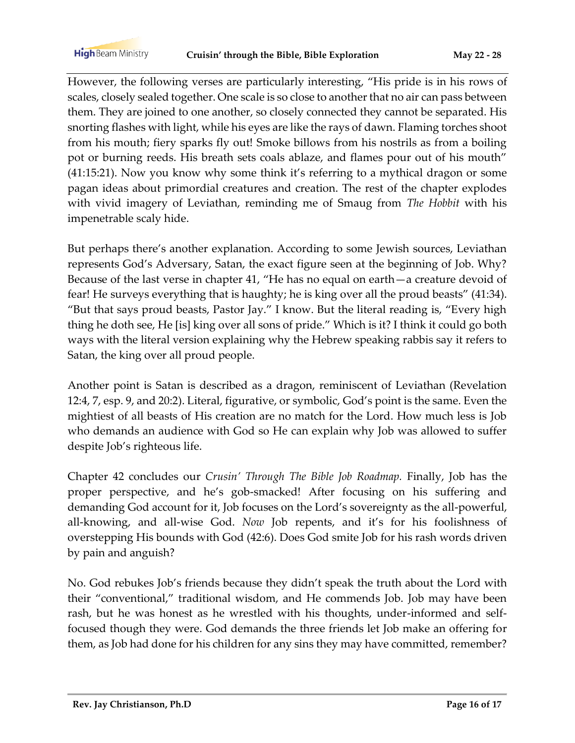However, the following verses are particularly interesting, "His pride is in his rows of scales, closely sealed together. One scale is so close to another that no air can pass between them. They are joined to one another, so closely connected they cannot be separated. His snorting flashes with light, while his eyes are like the rays of dawn. Flaming torches shoot from his mouth; fiery sparks fly out! Smoke billows from his nostrils as from a boiling pot or burning reeds. His breath sets coals ablaze, and flames pour out of his mouth" (41:15:21). Now you know why some think it's referring to a mythical dragon or some pagan ideas about primordial creatures and creation. The rest of the chapter explodes with vivid imagery of Leviathan, reminding me of Smaug from *The Hobbit* with his impenetrable scaly hide.

But perhaps there's another explanation. According to some Jewish sources, Leviathan represents God's Adversary, Satan, the exact figure seen at the beginning of Job. Why? Because of the last verse in chapter 41, "He has no equal on earth—a creature devoid of fear! He surveys everything that is haughty; he is king over all the proud beasts" (41:34). "But that says proud beasts, Pastor Jay." I know. But the literal reading is, "Every high thing he doth see, He [is] king over all sons of pride." Which is it? I think it could go both ways with the literal version explaining why the Hebrew speaking rabbis say it refers to Satan, the king over all proud people.

Another point is Satan is described as a dragon, reminiscent of Leviathan (Revelation 12:4, 7, esp. 9, and 20:2). Literal, figurative, or symbolic, God's point is the same. Even the mightiest of all beasts of His creation are no match for the Lord. How much less is Job who demands an audience with God so He can explain why Job was allowed to suffer despite Job's righteous life.

Chapter 42 concludes our *Crusin' Through The Bible Job Roadmap.* Finally, Job has the proper perspective, and he's gob-smacked! After focusing on his suffering and demanding God account for it, Job focuses on the Lord's sovereignty as the all-powerful, all-knowing, and all-wise God. *Now* Job repents, and it's for his foolishness of overstepping His bounds with God (42:6). Does God smite Job for his rash words driven by pain and anguish?

No. God rebukes Job's friends because they didn't speak the truth about the Lord with their "conventional," traditional wisdom, and He commends Job. Job may have been rash, but he was honest as he wrestled with his thoughts, under-informed and selffocused though they were. God demands the three friends let Job make an offering for them, as Job had done for his children for any sins they may have committed, remember?